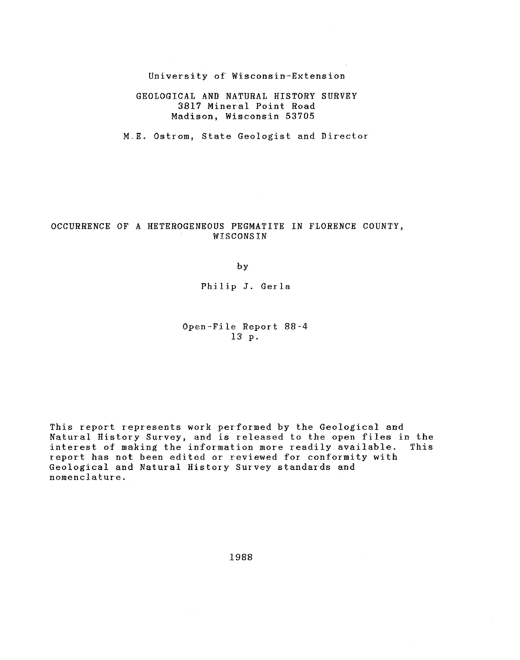## University of Wisconsin-Extension

## GEOLOGICAL AND NATURAL HISTORY SURVEY 3817 Mineral Point Road Madison, Wisconsin 53705

M.E. Ostrom, State Geologist and Director

 $\sim 10^7$ 

## OCCURRENCE OF A HETEROGENEOUS PEGMATITE IN FLORENCE COUNTY, WISCONSIN

by

### Philip J. Gerla

## Open-File Report 88-4 13 p.

This report represents work performed by the Geological and Natural History Survey, and is released to the open files in the interest of making the information more readily available. This interest of making the information more readily available. report has not been edited or reviewed for conformity with Geological and Natural History Survey standards and nomenclature.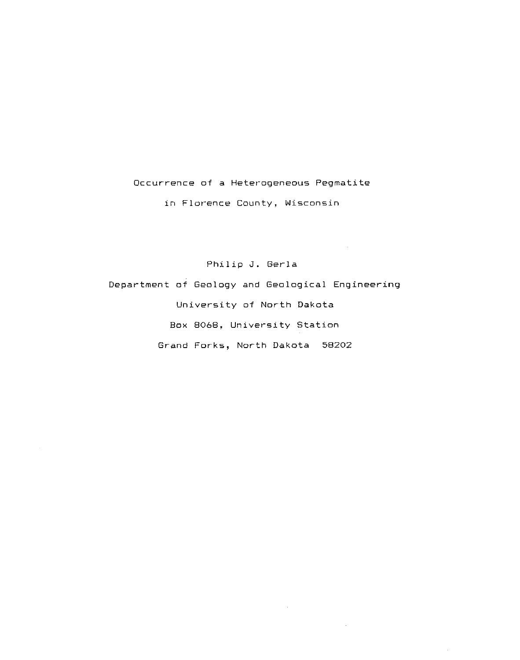# **Occur'rence of a Heter-ogeneous Pegmatite**

**in Flor-ence County, Wisconsin** 

Philip J. Gerla

Department of Geology and Geological Engineering University of North Dakota Box 8068, University Station Grand Forks, North Dakota 58202

 $\sim$ 

 $\sim$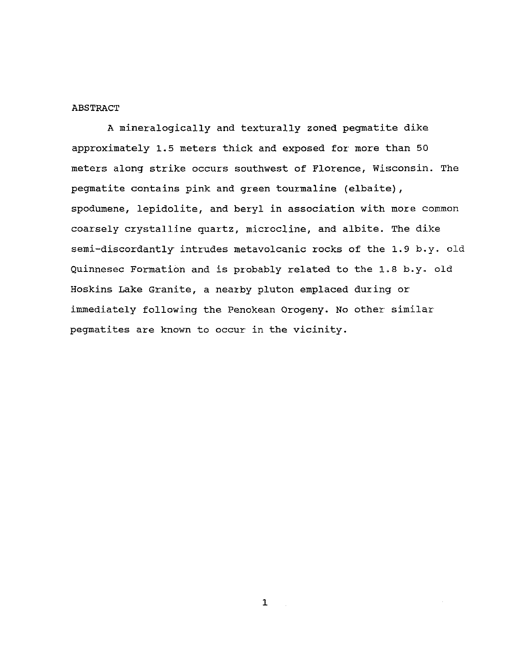## ABSTRACT

A mineralogically and texturally zoned pegmatite dike approximately 1.5 meters thick and exposed for' more than 50 meters along strike occurs southwest of Florence, Wisconsin. The pegmatite contains pink and green tourmaline (elbaite), spodumene, lepidolite, and beryl in association with more common coarsely crystalline quartz, microcline, and albite. The dike semi-discordantly intrudes metavolcanic rocks of the 1.9 b.y. old Quinnesec Formation and is probably related to the 1.8 b.y. old Hoskins Lake Granite, a nearby pluton emplaced during or immediately following the Penokean Orogeny. No other similar pegmatites are known to occur in the vicinity.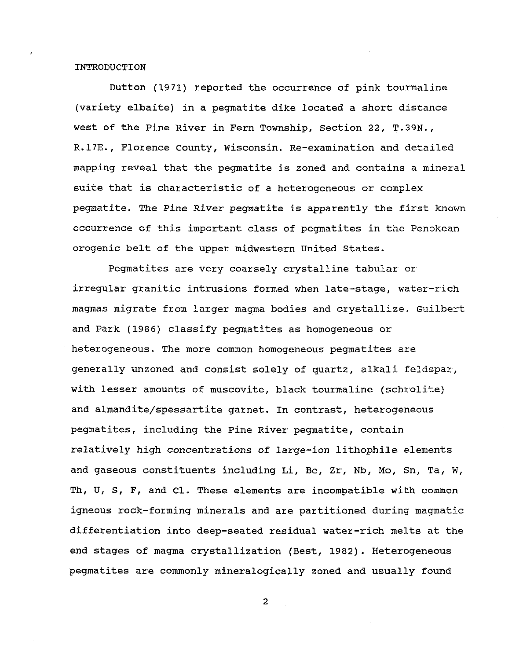## INTRODUCTION

Dutton (1971) reported the occurrence of pink tourmaline (variety elbaite) in a pegmatite dike located a short distance west of the Pine River in Fern Township, section 22, T.39N., R.17E., Florence County, Wisconsin. Re-examination and detailed mapping reveal that the pegmatite is zoned and contains a mineral suite that is characteristic of a heterogeneous or complex pegmatite. The Pine River pegmatite is apparently the first known occurrence of this important. class of pegmatites in the Penokean orogenic belt of the upper midwestern United states.

Pegmatites are very coarsely crystalline tabular or irregular granitic intrusions formed when late-stage, water-rich magmas migrate from larger magma bodies and crystallize. Guilbert and Park (1986) classify pegmatites as homogeneous or heterogeneous. The more common homogeneous pegmatites are generally unzoned and consist solely of quartz, alkali feldspar, with lesser amounts of muscovite, black tourmaline (schrolite) and almandite/spessartite garnet. In contrast, heterogeneous pegmatites, including the Pine RiVer pegmatite, contain relatively high concentrations of large-ion lithophile elements and gaseous constituents including Li, Be, Zr, Nb, Mo, Sn, Ta, W, Th, U, S, F, and Cl. These elements are incompatible with common igneous rock-forming minerals and are partitioned during magmatic differentiation into deep-seated residual water-rich melts at the end stages of magma crystallization (Best, 1982). Heterogeneous pegmatites are commonly mineralogically zoned and usually found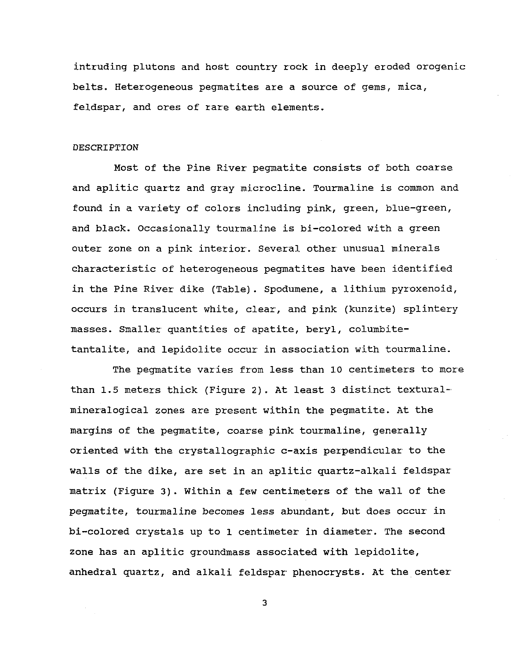intruding plutons and host country rock in deeply eroded orogenic belts. Heterogeneous pegmatites are a source of gems, mica, feldspar, and ores of rare earth elements.

## **DESCRIPTION**

Most of the Pine River' pegmatite consists of both coarse and aplitic quartz and gray microcline. Tourmaline is common and found in a variety of colors including pink, green, blue-green, and black. Occasionally tourmaline is bi-colored with a green outer zone on a pink interior. Several other unusual minerals characteristic of heterogeneous pegmatites have been identified in the Pine River dike (Table). Spodumene, a lithium pyroxenoid, occurs in translucent white, clear, and pink (kunzite) splintery masses. Smaller quantities of apatite, beryl, columbitetantalite, and lepidolite occur in association with tourmaline.

The pegmatite varies from less than 10 centimeters to more than 1.5 meters thick (Figure 2). At least 3 distinct texturalmineralogical zones are present within the pegmatite. At the margins of the pegmatite, coarse pink tourmaline, generally oriented with the crystallographic c-axis perpendicular' to the walls of the dike, are set in an aplitic quartz-alkali feldspar matrix (Figure 3). within a few centimeters of the wall of the pegmatite, tourmaline becomes less abundant, but does occur in bi-colored crystals up to 1. centimeter in diameter. The second zone has an aplitic groundmass associated with lepidolite, anhedral quartz, and alkali feldspar phenocrysts. At the center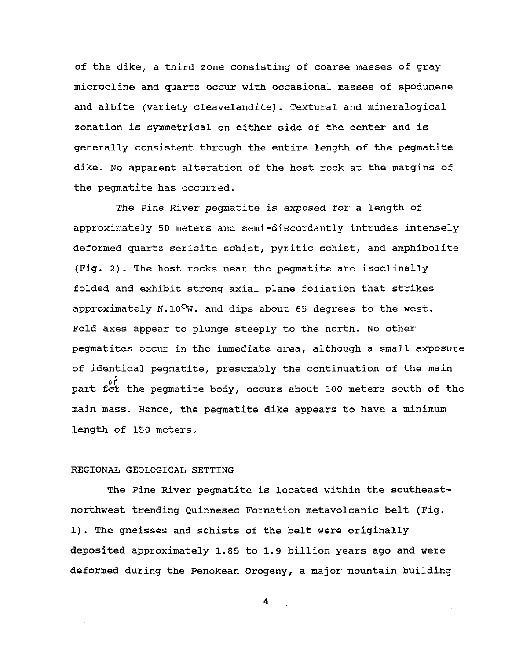of the dike, a third zone consisting of coarse masses of gray microcline and quartz occur with occasional masses of spodumene and albite (variety cleavelandite). Textural and mineralogical zonation is symmetrical on either side of the center and is generally consistent through the entire length of the pegmatite dike. No apparent alteration of the host rock at the margins of the pegmatite has occurred.

The *Pine* River pegmatite is exposed for a length of approximately 50 meters and semi-discordantly intrudes intensely deformed quartz sericite schist, pyritic schist, and amphibolite (Fig. 2). The host rocks near the pegmatite are isoclinally folded and exhibit strong axial plane foliation that strikes approximately  $N.10^{\circ}$ W. and dips about 65 degrees to the west. Fold axes appear to plunge steeply to the north. No other' pegmatites occur in the immediate area, although a small exposure of identical pegmatite, presumably the continuation of the main part for the pegmatite body, occurs about 100 meters south of the main mass. Hence, the pegmatite dike appears to have a minimum length of 150 meters.

# REGIONAL GEOLOGICAL SETTING

The Pine River pegmatite is located within the southeastnorthwest trending Quinnesec Formation metavolcanic belt (Fig. 1). The gneisses and schists of the belt were originally deposited approximately 1. 85 to 1. 9 billion years ago and were deformed during the Penokean Orogeny, a major mountain building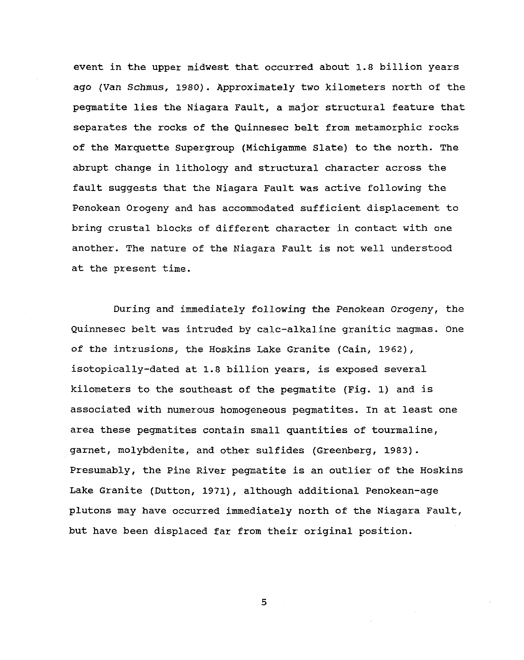event in the upper midwest that occurred about 1.8 billion years ago (Van Schmus, 1980). Approximately two kilometers north of the pegmatite lies the Niagara Fault, a major structural feature that separates the rocks of the Quinnesec belt from metamorphic rocks of the Marquette supergroup (Michigamme slate) to the north. The abrupt change in lithology and structural character across the fault suggests that the Niagara Fault was active following the Penokean Orogeny and has accommodated sufficient displacement to bring crustal blocks of different character in contact with one another. The nature of the Niagara Fault is not well understood at the present time.

During and immediately following the Penokean Orogeny, the Quinnesec belt was intruded by calc-alkaline granitic magmas. One of the intrusions, the Hoskins Lake Granite (Cain, 1962), isotopically-dated at 1.8 billion years, is exposed several kilometers to the southeast of the pegmatite (Fig. 1) and is associated with numerous homogeneous pegmatites. In at least one area these pegmatites contain small quantities of tourmaline, garnet, molybdenite, and other sulfides (Greenberg, 1983). Presumably, the Pine River pegmatite is an outlier of the Hoskins Lake Granite (Dutton, 1971), although additional Penokean-age plutons may have occurred immediately north of the Niagara Fault, but have been displaced far from their original position.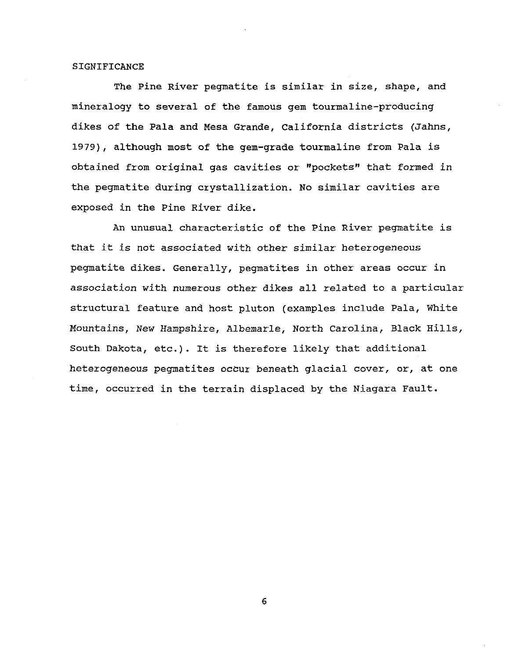## **SIGNIFICANCE**

The Pine River pegmatite is similar in size, shape, and mineralogy to several of the famous gem tourmaline-producing dikes of the Pala and Mesa Grande, California districts (Jahns, 1979), although most of the gem-grade tourmaline from Pala is obtained from original gas cavities or "pockets" that formed in the pegmatite dUring crystallization. No similar cavities are exposed in the Pine River dike.

An unusual characteristic of the Pine River pegmatite is that it is not associated with other similar heterogeneous pegmatite dikes. Generally, pegmatites in other areas occur in association with numerous other dikes all related to a particular structural feature and host pluton (examples include Pala, White Mountains, New Hampshire, Albemarle, North Carolina, Black Hills, South Dakota, etc.). It is therefore likely that additional heterogeneous pegmatites occur beneath glacial cover, or, at one time, occurred in the terrain displaced by the Niagara Fault.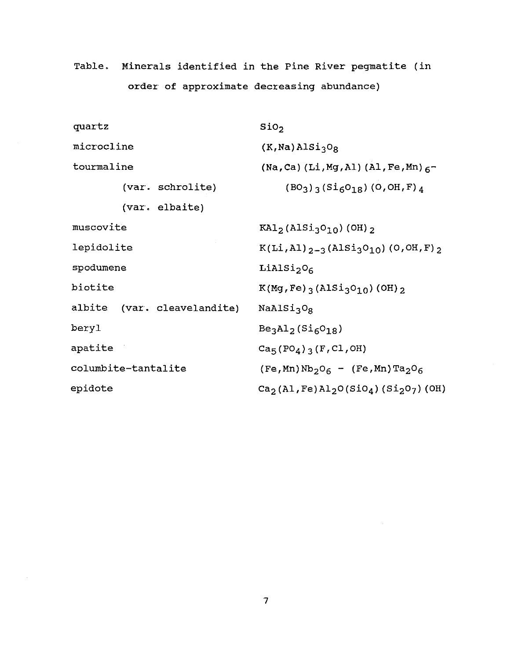Table. Minerals identified in the Pine River pegmatite (in order of approximate decreasing abundance)

| quartz                      | Si0 <sub>2</sub>                                               |
|-----------------------------|----------------------------------------------------------------|
| microcline                  | $(K, Na)$ AlSi <sub>3</sub> O <sub>8</sub>                     |
| tourmaline                  | (Na, Ca) (Li, Mg, Al) (Al, Fe, Mn) $6^-$                       |
| (var. schrolite)            | $(BO_3)$ <sub>3</sub> $(Si_6O_{18})$ $(O, OH, F)$ <sub>4</sub> |
| (var. elbaite)              |                                                                |
| muscovite                   | $KAI2 (Alsi3O10) (OH) 2$                                       |
| lepidolite                  | $K(Li, Al)_{2-3}(AlSi3O10)$ (O, OH, F) 2                       |
| spodumene                   | LiAlSi <sub>2</sub> O <sub>6</sub>                             |
| biotite                     | $K(Mg, Fe)$ (AlSi <sub>3</sub> O <sub>10</sub> ) (OH) 2        |
| albite (var. cleavelandite) | NaAlSi <sub>3</sub> O <sub>g</sub>                             |
| beryl                       | $Be3Al2(Si6O18)$                                               |
| apatite                     | $Ca_{5}(PO_{4})_{3}(F,Cl,OH)$                                  |
| columbite-tantalite         | $(Fe, Mn) Nb2O6 - (Fe, Mn) Ta2O6$                              |
| epidote                     | $Ca_2(A1, Fe)Al_2O(SiO_4) (Si_2O_7) (OH)$                      |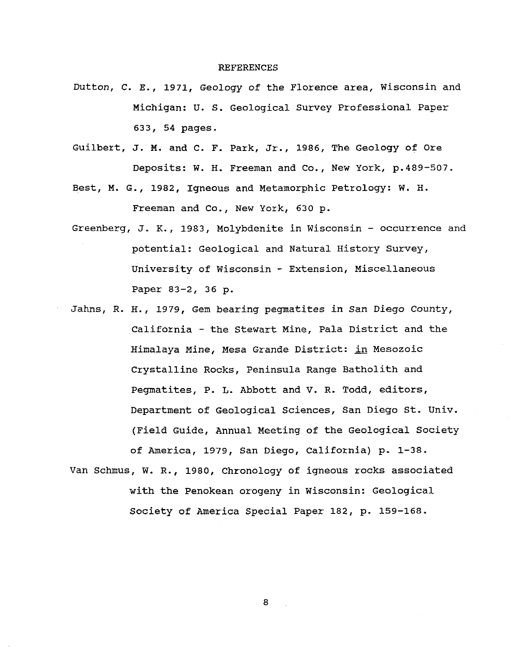#### REFERENCES

- Dutton, C. E., 1971, Geology of the Florence area, Wisconsin and Michigan: U. S. Geological Survey Professional Paper 633, 54 pages.
- Guilbert, J. M. and C. F. Park, Jr., 1986, The Geology of Ore Deposits: W. H. Freeman and Co., New York, p.489-507.
- Best, M. G., 1982, Igneous and Metamorphic Petrology: W. H. Freeman and Co., New York, 630 p.
- Greenberg, J. K., 1.983, Molybdenite in Wisconsin occurrence and potential: Geological and Natural History Survey, University of Wisconsin - Extension, Miscellaneous Paper 83-2, 36 p.
- Jahns, R. H., 1979, Gem bearing pegmatites in San Diego county, California- the stewart Mine, Pala District and the Himalaya Mine, Mesa Grande District: in Mesozoic Crystalline Rocks, Peninsula Range Batholith and Pegmatites, P. L. Abbott and V. R. Todd, editors, Department of Geological Sciences, San Diego st. Univ. (Field Guide, Annual Meeting of the Geological Society of America, 1979, San Diego, California) p. 1-38.
- Van Schmus, W. R., 1980, Chronology of igneous rocks associated with the Penokean orogeny in Wisconsin: Geological Society of America Special Paper 182, p. 159-168.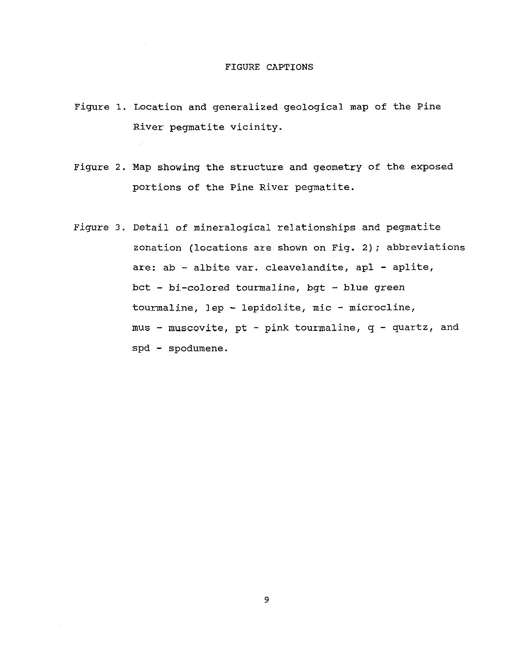### FIGURE CAPTIONS

- Figure 1. Location and generalized geological map of the Pine River pegmatite vicinity.
- Figure 2. Map showing the structure and geometry of the exposed portions of the Pine River pegmatite.
- Figure 3. Detail of mineralogical relationships and pegmatite zonation (locations are shown on Fig. 2); abbreviations are: ab - albite var. cleavelandite, apl - aplite, bct - bi-colored tourmaline, bgt - blue green tourmaline, lep - lepidolite, mic - microcline, mus - muscovite, pt - pink tourmaline,  $q$  - quartz, and spd - spodumene.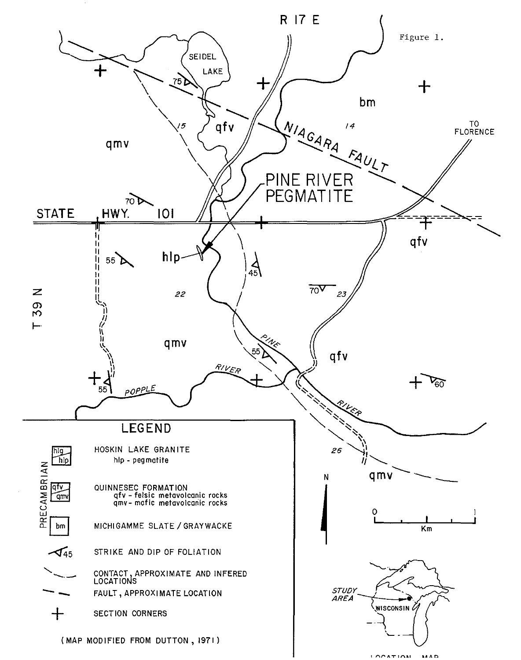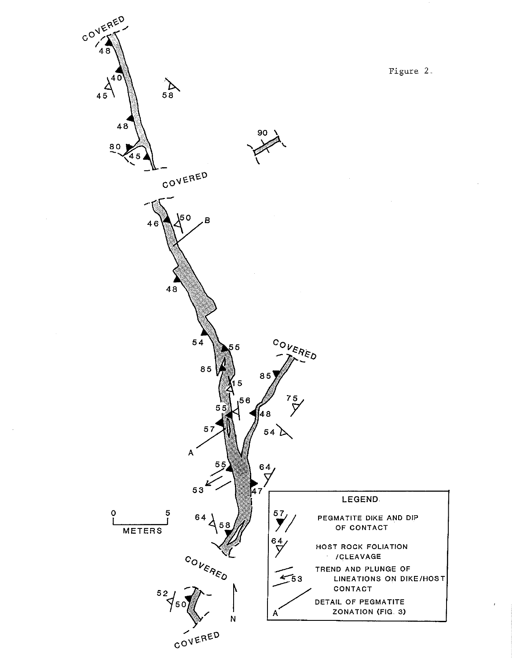